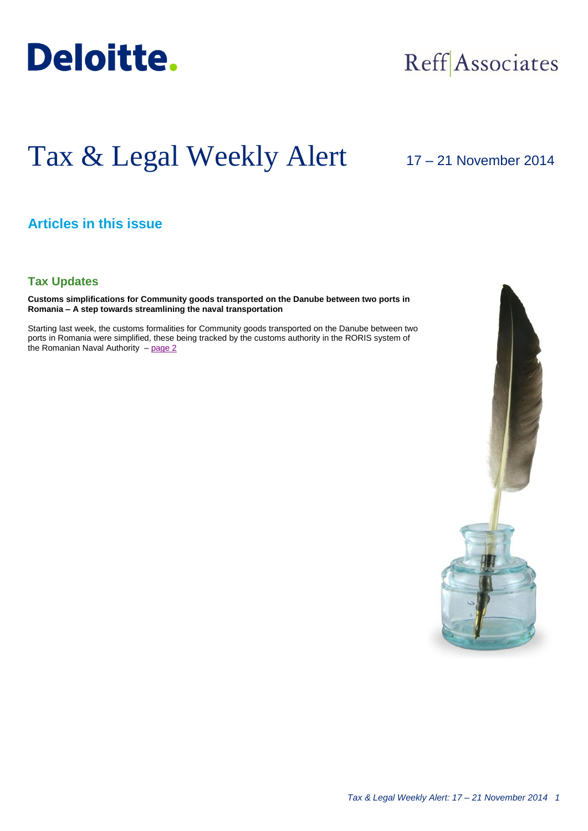

## Reff Associates

# Tax & Legal Weekly Alert

### 17 – 21 November 2014

#### **Articles in this issue**

#### **Tax Updates**

**Customs simplifications for Community goods transported on the Danube between two ports in Romania – A step towards streamlining the naval transportation**

Starting last week, the customs formalities for Community goods transported on the Danube between two ports in Romania were simplified, these being tracked by the customs authority in the RORIS system of the Romanian Naval Authority - [page 2](#page-1-0)

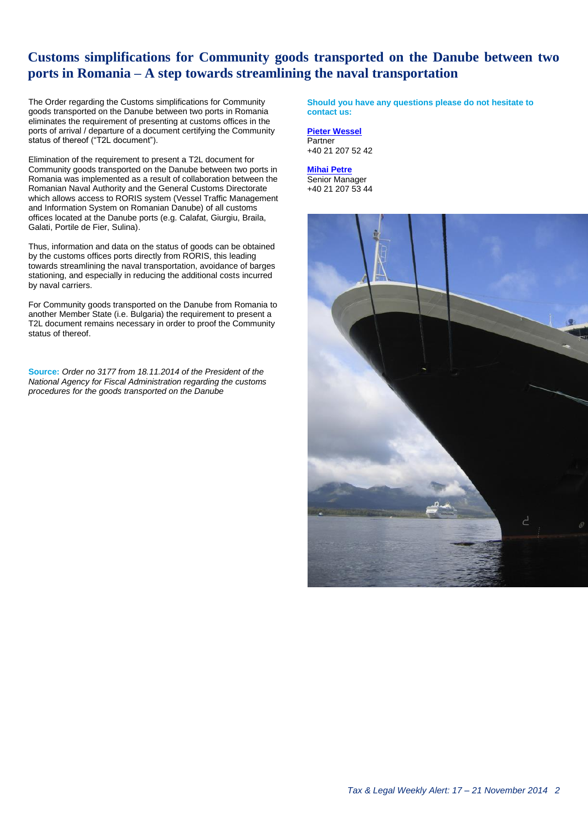#### <span id="page-1-0"></span>**Customs simplifications for Community goods transported on the Danube between two ports in Romania – A step towards streamlining the naval transportation**

The Order regarding the Customs simplifications for Community goods transported on the Danube between two ports in Romania eliminates the requirement of presenting at customs offices in the ports of arrival / departure of a document certifying the Community status of thereof ("T2L document").

Elimination of the requirement to present a T2L document for Community goods transported on the Danube between two ports in Romania was implemented as a result of collaboration between the Romanian Naval Authority and the General Customs Directorate which allows access to RORIS system (Vessel Traffic Management and Information System on Romanian Danube) of all customs offices located at the Danube ports (e.g. Calafat, Giurgiu, Braila, Galati, Portile de Fier, Sulina).

Thus, information and data on the status of goods can be obtained by the customs offices ports directly from RORIS, this leading towards streamlining the naval transportation, avoidance of barges stationing, and especially in reducing the additional costs incurred by naval carriers.

For Community goods transported on the Danube from Romania to another Member State (i.e. Bulgaria) the requirement to present a T2L document remains necessary in order to proof the Community status of thereof.

**Source:** *Order no 3177 from 18.11.2014 of the President of the National Agency for Fiscal Administration regarding the customs procedures for the goods transported on the Danube*

**Should you have any questions please do not hesitate to contact us:**

**[Pieter Wessel](mailto:pwessel@deloittece.com)** Partner +40 21 207 52 42

**[Mihai Petre](mailto:mipetre@deloittece.com)** Senior Manager +40 21 207 53 44